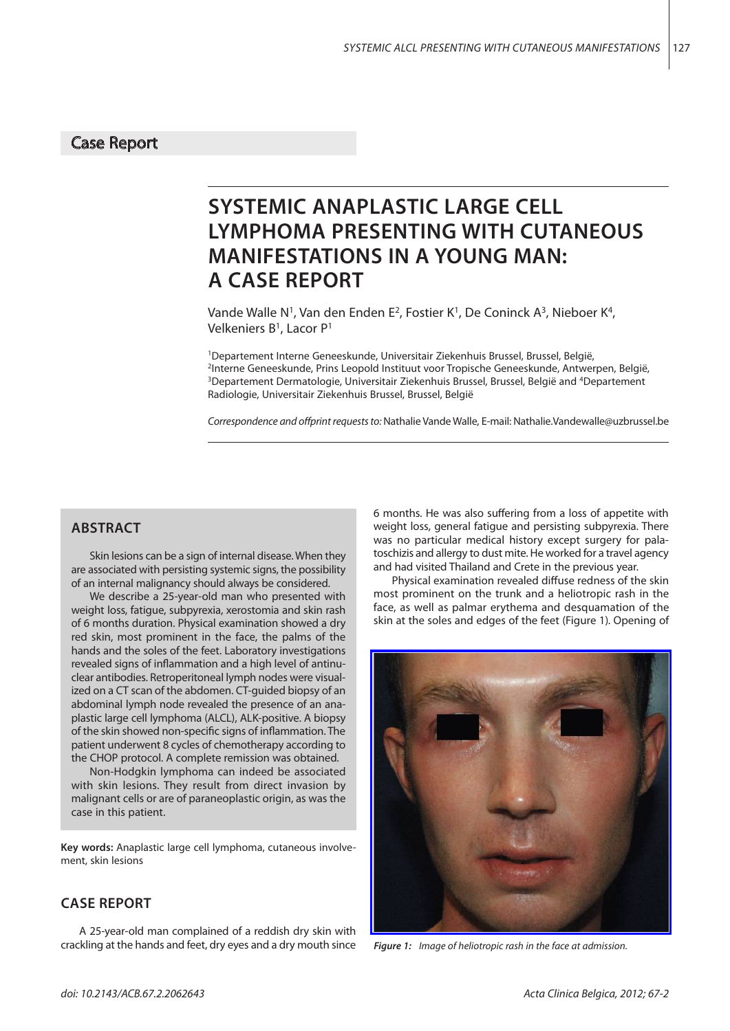## Case Report

# **SYSTEMIC ANAPLASTIC LARGE CELL LYMPHOMA PRESENTING WITH CUTANEOUS MANIFESTATIONS IN A YOUNG MAN: A CASE REPORT**

Vande Walle N<sup>1</sup>, Van den Enden E<sup>2</sup>, Fostier K<sup>1</sup>, De Coninck A<sup>3</sup>, Nieboer K<sup>4</sup>, Velkeniers B<sup>1</sup>, Lacor P<sup>1</sup>

<sup>1</sup>Departement Interne Geneeskunde, Universitair Ziekenhuis Brussel, Brussel, België, 2Interne Geneeskunde, Prins Leopold Instituut voor Tropische Geneeskunde, Antwerpen, België, <sup>3</sup>Departement Dermatologie, Universitair Ziekenhuis Brussel, Brussel, België and <sup>4</sup>Departement Radiologie, Universitair Ziekenhuis Brussel, Brussel, België

*Correspondence and offprint requests to:* Nathalie Vande Walle, E-mail: Nathalie.Vandewalle@uzbrussel.be

# **ABSTRACT**

Skin lesions can be a sign of internal disease. When they are associated with persisting systemic signs, the possibility of an internal malignancy should always be considered.

We describe a 25-year-old man who presented with weight loss, fatigue, subpyrexia, xerostomia and skin rash of 6 months duration. Physical examination showed a dry red skin, most prominent in the face, the palms of the hands and the soles of the feet. Laboratory investigations revealed signs of inflammation and a high level of antinuclear antibodies. Retroperitoneal lymph nodes were visualized on a CT scan of the abdomen. CT-guided biopsy of an abdominal lymph node revealed the presence of an anaplastic large cell lymphoma (ALCL), ALK-positive. A biopsy of the skin showed non-specific signs of inflammation. The patient underwent 8 cycles of chemotherapy according to the CHOP protocol. A complete remission was obtained.

Non-Hodgkin lymphoma can indeed be associated with skin lesions. They result from direct invasion by malignant cells or are of paraneoplastic origin, as was the case in this patient.

**Key words:** Anaplastic large cell lymphoma, cutaneous involvement, skin lesions

#### **CASE REPORT**

A 25-year-old man complained of a reddish dry skin with crackling at the hands and feet, dry eyes and a dry mouth since 6 months. He was also suffering from a loss of appetite with weight loss, general fatigue and persisting subpyrexia. There was no particular medical history except surgery for palatoschizis and allergy to dust mite. He worked for a travel agency and had visited Thailand and Crete in the previous year.

Physical examination revealed diffuse redness of the skin most prominent on the trunk and a heliotropic rash in the face, as well as palmar erythema and desquamation of the skin at the soles and edges of the feet (Figure 1)*.* Opening of



*Figure 1: Image of heliotropic rash in the face at admission.*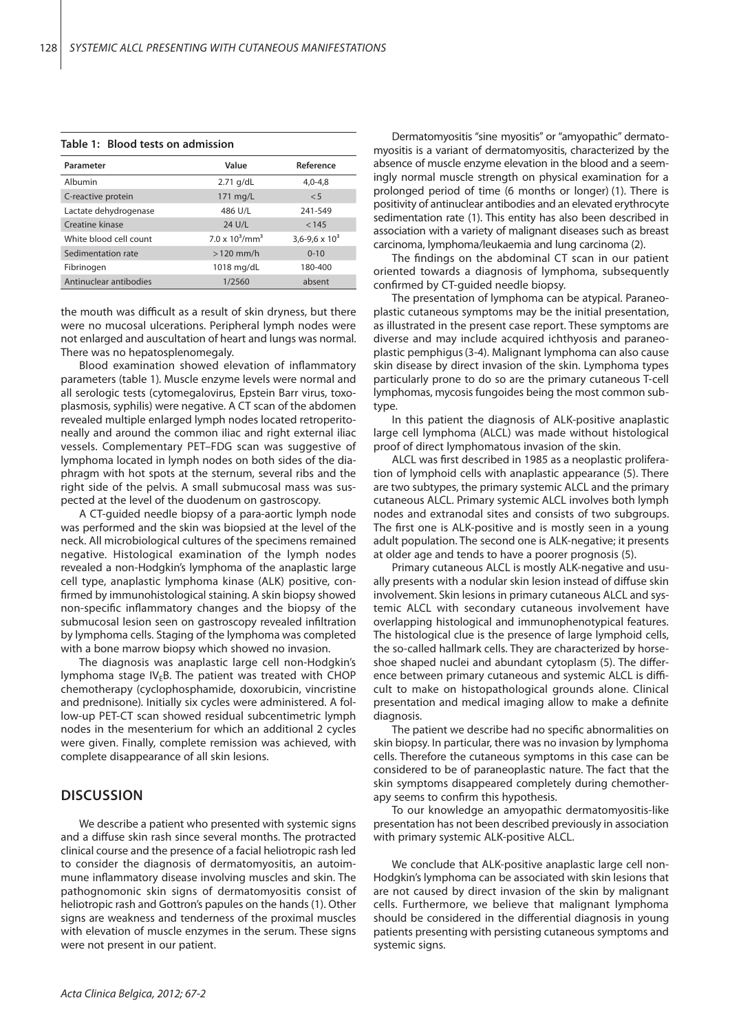| Parameter              | Value                         | Reference               |
|------------------------|-------------------------------|-------------------------|
| Albumin                | $2.71$ g/dL                   | $4,0-4,8$               |
| C-reactive protein     | 171 mg/L                      | < 5                     |
| Lactate dehydrogenase  | 486 U/L                       | 241-549                 |
| Creatine kinase        | 24 U/L                        | < 145                   |
| White blood cell count | $7.0 \times 10^3/\text{mm}^3$ | $3,6 - 9,6 \times 10^3$ |
| Sedimentation rate     | $>120$ mm/h                   | $0 - 10$                |
| Fibrinogen             | 1018 mg/dL                    | 180-400                 |
| Antinuclear antibodies | 1/2560                        | absent                  |

#### **Table 1: Blood tests on admission**

the mouth was difficult as a result of skin dryness, but there were no mucosal ulcerations. Peripheral lymph nodes were not enlarged and auscultation of heart and lungs was normal. There was no hepatosplenomegaly.

Blood examination showed elevation of inflammatory parameters (table 1)*.* Muscle enzyme levels were normal and all serologic tests (cytomegalovirus, Epstein Barr virus, toxoplasmosis, syphilis) were negative. A CT scan of the abdomen revealed multiple enlarged lymph nodes located retroperitoneally and around the common iliac and right external iliac vessels. Complementary PET–FDG scan was suggestive of lymphoma located in lymph nodes on both sides of the diaphragm with hot spots at the sternum, several ribs and the right side of the pelvis. A small submucosal mass was suspected at the level of the duodenum on gastroscopy.

A CT-guided needle biopsy of a para-aortic lymph node was performed and the skin was biopsied at the level of the neck. All microbiological cultures of the specimens remained negative. Histological examination of the lymph nodes revealed a non-Hodgkin's lymphoma of the anaplastic large cell type, anaplastic lymphoma kinase (ALK) positive, confirmed by immunohistological staining. A skin biopsy showed non-specific inflammatory changes and the biopsy of the submucosal lesion seen on gastroscopy revealed infiltration by lymphoma cells. Staging of the lymphoma was completed with a bone marrow biopsy which showed no invasion.

The diagnosis was anaplastic large cell non-Hodgkin's lymphoma stage  $IV<sub>E</sub>B$ . The patient was treated with CHOP chemotherapy (cyclophosphamide, doxorubicin, vincristine and prednisone)*.* Initially six cycles were administered. A follow-up PET-CT scan showed residual subcentimetric lymph nodes in the mesenterium for which an additional 2 cycles were given. Finally, complete remission was achieved, with complete disappearance of all skin lesions.

#### **DISCUSSION**

We describe a patient who presented with systemic signs and a diffuse skin rash since several months. The protracted clinical course and the presence of a facial heliotropic rash led to consider the diagnosis of dermatomyositis, an autoimmune inflammatory disease involving muscles and skin. The pathognomonic skin signs of dermatomyositis consist of heliotropic rash and Gottron's papules on the hands (1). Other signs are weakness and tenderness of the proximal muscles with elevation of muscle enzymes in the serum. These signs were not present in our patient.

Dermatomyositis "sine myositis" or "amyopathic" dermatomyositis is a variant of dermatomyositis, characterized by the absence of muscle enzyme elevation in the blood and a seemingly normal muscle strength on physical examination for a prolonged period of time (6 months or longer) (1). There is positivity of antinuclear antibodies and an elevated erythrocyte sedimentation rate (1). This entity has also been described in association with a variety of malignant diseases such as breast carcinoma, lymphoma/leukaemia and lung carcinoma (2).

The findings on the abdominal CT scan in our patient oriented towards a diagnosis of lymphoma, subsequently confirmed by CT-guided needle biopsy.

The presentation of lymphoma can be atypical. Paraneoplastic cutaneous symptoms may be the initial presentation, as illustrated in the present case report. These symptoms are diverse and may include acquired ichthyosis and paraneoplastic pemphigus(3-4). Malignant lymphoma can also cause skin disease by direct invasion of the skin. Lymphoma types particularly prone to do so are the primary cutaneous T-cell lymphomas, mycosis fungoides being the most common subtype.

In this patient the diagnosis of ALK-positive anaplastic large cell lymphoma (ALCL) was made without histological proof of direct lymphomatous invasion of the skin.

ALCL was first described in 1985 as a neoplastic proliferation of lymphoid cells with anaplastic appearance (5). There are two subtypes, the primary systemic ALCL and the primary cutaneous ALCL. Primary systemic ALCL involves both lymph nodes and extranodal sites and consists of two subgroups. The first one is ALK-positive and is mostly seen in a young adult population. The second one is ALK-negative; it presents at older age and tends to have a poorer prognosis (5).

Primary cutaneous ALCL is mostly ALK-negative and usually presents with a nodular skin lesion instead of diffuse skin involvement. Skin lesions in primary cutaneous ALCL and systemic ALCL with secondary cutaneous involvement have overlapping histological and immunophenotypical features. The histological clue is the presence of large lymphoid cells, the so-called hallmark cells. They are characterized by horseshoe shaped nuclei and abundant cytoplasm (5). The difference between primary cutaneous and systemic ALCL is difficult to make on histopathological grounds alone. Clinical presentation and medical imaging allow to make a definite diagnosis.

The patient we describe had no specific abnormalities on skin biopsy. In particular, there was no invasion by lymphoma cells. Therefore the cutaneous symptoms in this case can be considered to be of paraneoplastic nature. The fact that the skin symptoms disappeared completely during chemotherapy seems to confirm this hypothesis.

To our knowledge an amyopathic dermatomyositis-like presentation has not been described previously in association with primary systemic ALK-positive ALCL.

We conclude that ALK-positive anaplastic large cell non-Hodgkin's lymphoma can be associated with skin lesions that are not caused by direct invasion of the skin by malignant cells. Furthermore, we believe that malignant lymphoma should be considered in the differential diagnosis in young patients presenting with persisting cutaneous symptoms and systemic signs.